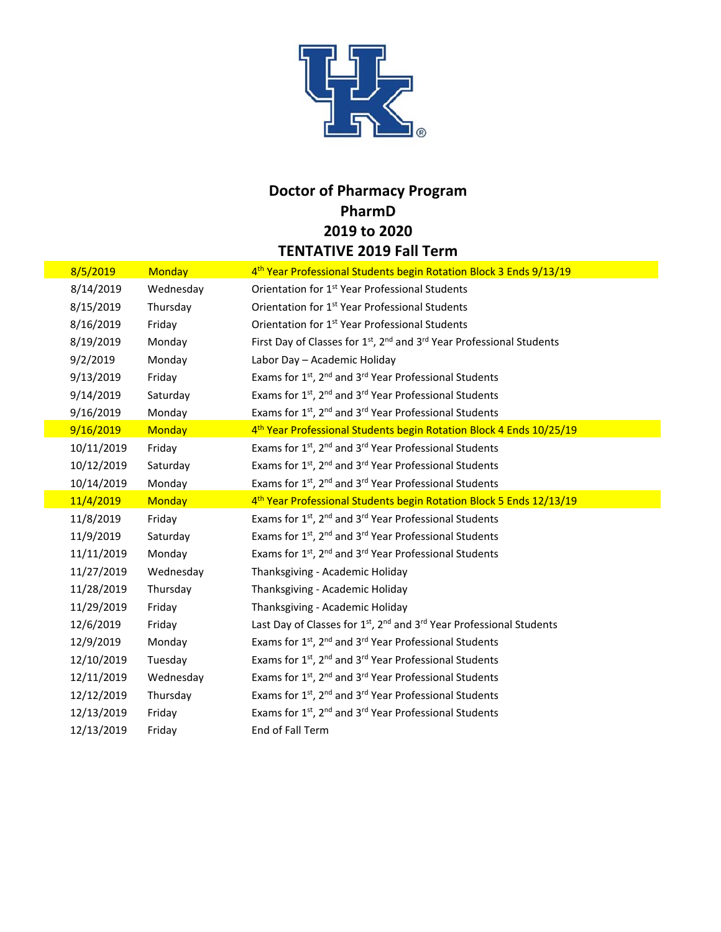

## **Doctor of Pharmacy Program PharmD 2019 to 2020 TENTATIVE 2019 Fall Term**

| 8/5/2019   | <b>Monday</b> | 4 <sup>th</sup> Year Professional Students begin Rotation Block 3 Ends 9/13/19                            |
|------------|---------------|-----------------------------------------------------------------------------------------------------------|
| 8/14/2019  | Wednesday     | Orientation for 1 <sup>st</sup> Year Professional Students                                                |
| 8/15/2019  | Thursday      | Orientation for 1 <sup>st</sup> Year Professional Students                                                |
| 8/16/2019  | Friday        | Orientation for 1 <sup>st</sup> Year Professional Students                                                |
| 8/19/2019  | Monday        | First Day of Classes for 1 <sup>st</sup> , 2 <sup>nd</sup> and 3 <sup>rd</sup> Year Professional Students |
| 9/2/2019   | Monday        | Labor Day - Academic Holiday                                                                              |
| 9/13/2019  | Friday        | Exams for 1st, 2 <sup>nd</sup> and 3 <sup>rd</sup> Year Professional Students                             |
| 9/14/2019  | Saturday      | Exams for 1st, 2 <sup>nd</sup> and 3 <sup>rd</sup> Year Professional Students                             |
| 9/16/2019  | Monday        | Exams for 1st, 2 <sup>nd</sup> and 3 <sup>rd</sup> Year Professional Students                             |
| 9/16/2019  | <b>Monday</b> | 4 <sup>th</sup> Year Professional Students begin Rotation Block 4 Ends 10/25/19                           |
| 10/11/2019 | Friday        | Exams for 1 <sup>st</sup> , 2 <sup>nd</sup> and 3 <sup>rd</sup> Year Professional Students                |
| 10/12/2019 | Saturday      | Exams for 1st, 2 <sup>nd</sup> and 3 <sup>rd</sup> Year Professional Students                             |
| 10/14/2019 | Monday        | Exams for 1st, 2 <sup>nd</sup> and 3 <sup>rd</sup> Year Professional Students                             |
| 11/4/2019  | <b>Monday</b> | 4 <sup>th</sup> Year Professional Students begin Rotation Block 5 Ends 12/13/19                           |
| 11/8/2019  | Friday        | Exams for 1 <sup>st</sup> , 2 <sup>nd</sup> and 3 <sup>rd</sup> Year Professional Students                |
| 11/9/2019  | Saturday      | Exams for 1 <sup>st</sup> , 2 <sup>nd</sup> and 3 <sup>rd</sup> Year Professional Students                |
| 11/11/2019 | Monday        | Exams for 1 <sup>st</sup> , 2 <sup>nd</sup> and 3 <sup>rd</sup> Year Professional Students                |
| 11/27/2019 | Wednesday     | Thanksgiving - Academic Holiday                                                                           |
| 11/28/2019 | Thursday      | Thanksgiving - Academic Holiday                                                                           |
| 11/29/2019 | Friday        | Thanksgiving - Academic Holiday                                                                           |
| 12/6/2019  | Friday        | Last Day of Classes for 1 <sup>st</sup> , 2 <sup>nd</sup> and 3 <sup>rd</sup> Year Professional Students  |
| 12/9/2019  | Monday        | Exams for 1 <sup>st</sup> , 2 <sup>nd</sup> and 3 <sup>rd</sup> Year Professional Students                |
| 12/10/2019 | Tuesday       | Exams for 1 <sup>st</sup> , 2 <sup>nd</sup> and 3 <sup>rd</sup> Year Professional Students                |
| 12/11/2019 | Wednesday     | Exams for 1 <sup>st</sup> , 2 <sup>nd</sup> and 3 <sup>rd</sup> Year Professional Students                |
| 12/12/2019 | Thursday      | Exams for 1st, 2 <sup>nd</sup> and 3 <sup>rd</sup> Year Professional Students                             |
| 12/13/2019 | Friday        | Exams for 1st, 2 <sup>nd</sup> and 3 <sup>rd</sup> Year Professional Students                             |
| 12/13/2019 | Friday        | End of Fall Term                                                                                          |